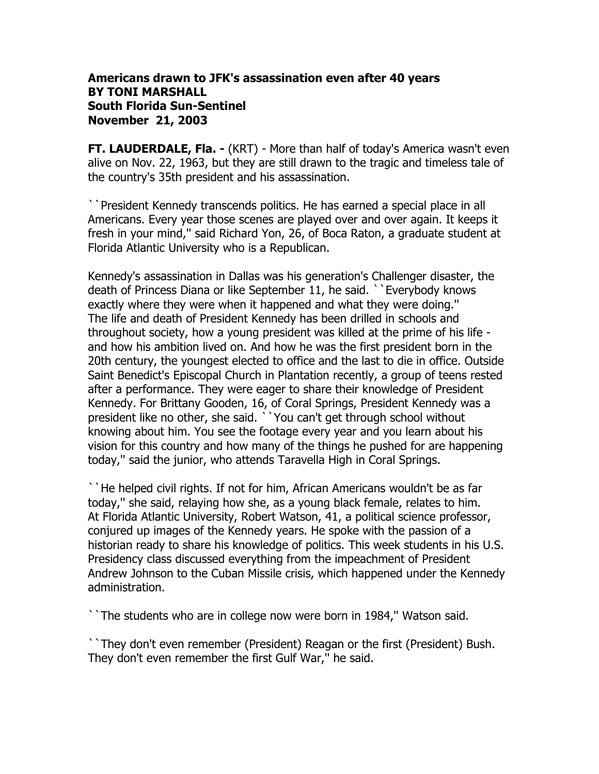## **Americans drawn to JFK's assassination even after 40 years BY TONI MARSHALL South Florida Sun-Sentinel November 21, 2003**

**FT. LAUDERDALE, Fla. -** (KRT) - More than half of today's America wasn't even alive on Nov. 22, 1963, but they are still drawn to the tragic and timeless tale of the country's 35th president and his assassination.

``President Kennedy transcends politics. He has earned a special place in all Americans. Every year those scenes are played over and over again. It keeps it fresh in your mind,'' said Richard Yon, 26, of Boca Raton, a graduate student at Florida Atlantic University who is a Republican.

Kennedy's assassination in Dallas was his generation's Challenger disaster, the death of Princess Diana or like September 11, he said. ``Everybody knows exactly where they were when it happened and what they were doing.'' The life and death of President Kennedy has been drilled in schools and throughout society, how a young president was killed at the prime of his life and how his ambition lived on. And how he was the first president born in the 20th century, the youngest elected to office and the last to die in office. Outside Saint Benedict's Episcopal Church in Plantation recently, a group of teens rested after a performance. They were eager to share their knowledge of President Kennedy. For Brittany Gooden, 16, of Coral Springs, President Kennedy was a president like no other, she said. ``You can't get through school without knowing about him. You see the footage every year and you learn about his vision for this country and how many of the things he pushed for are happening today,'' said the junior, who attends Taravella High in Coral Springs.

``He helped civil rights. If not for him, African Americans wouldn't be as far today,'' she said, relaying how she, as a young black female, relates to him. At Florida Atlantic University, Robert Watson, 41, a political science professor, conjured up images of the Kennedy years. He spoke with the passion of a historian ready to share his knowledge of politics. This week students in his U.S. Presidency class discussed everything from the impeachment of President Andrew Johnson to the Cuban Missile crisis, which happened under the Kennedy administration.

``The students who are in college now were born in 1984,'' Watson said.

``They don't even remember (President) Reagan or the first (President) Bush. They don't even remember the first Gulf War,'' he said.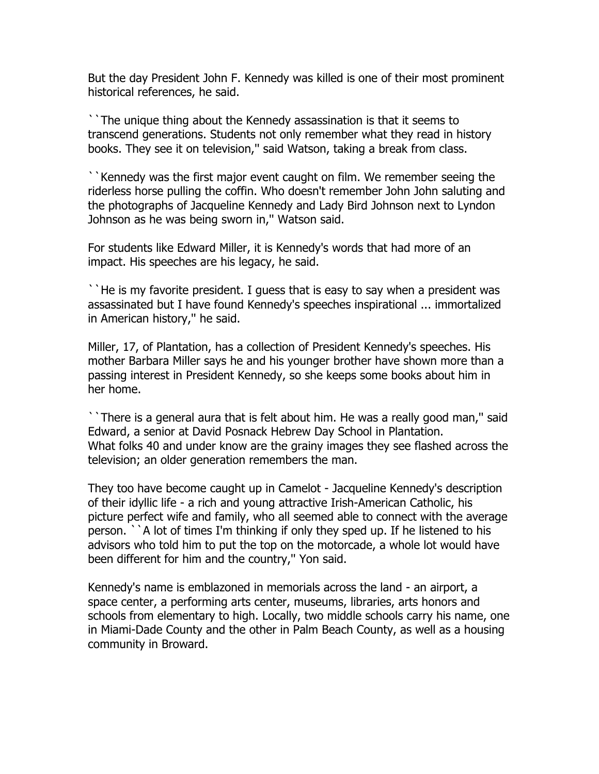But the day President John F. Kennedy was killed is one of their most prominent historical references, he said.

``The unique thing about the Kennedy assassination is that it seems to transcend generations. Students not only remember what they read in history books. They see it on television,'' said Watson, taking a break from class.

``Kennedy was the first major event caught on film. We remember seeing the riderless horse pulling the coffin. Who doesn't remember John John saluting and the photographs of Jacqueline Kennedy and Lady Bird Johnson next to Lyndon Johnson as he was being sworn in,'' Watson said.

For students like Edward Miller, it is Kennedy's words that had more of an impact. His speeches are his legacy, he said.

``He is my favorite president. I guess that is easy to say when a president was assassinated but I have found Kennedy's speeches inspirational ... immortalized in American history,'' he said.

Miller, 17, of Plantation, has a collection of President Kennedy's speeches. His mother Barbara Miller says he and his younger brother have shown more than a passing interest in President Kennedy, so she keeps some books about him in her home.

``There is a general aura that is felt about him. He was a really good man,'' said Edward, a senior at David Posnack Hebrew Day School in Plantation. What folks 40 and under know are the grainy images they see flashed across the television; an older generation remembers the man.

They too have become caught up in Camelot - Jacqueline Kennedy's description of their idyllic life - a rich and young attractive Irish-American Catholic, his picture perfect wife and family, who all seemed able to connect with the average person. ``A lot of times I'm thinking if only they sped up. If he listened to his advisors who told him to put the top on the motorcade, a whole lot would have been different for him and the country,'' Yon said.

Kennedy's name is emblazoned in memorials across the land - an airport, a space center, a performing arts center, museums, libraries, arts honors and schools from elementary to high. Locally, two middle schools carry his name, one in Miami-Dade County and the other in Palm Beach County, as well as a housing community in Broward.